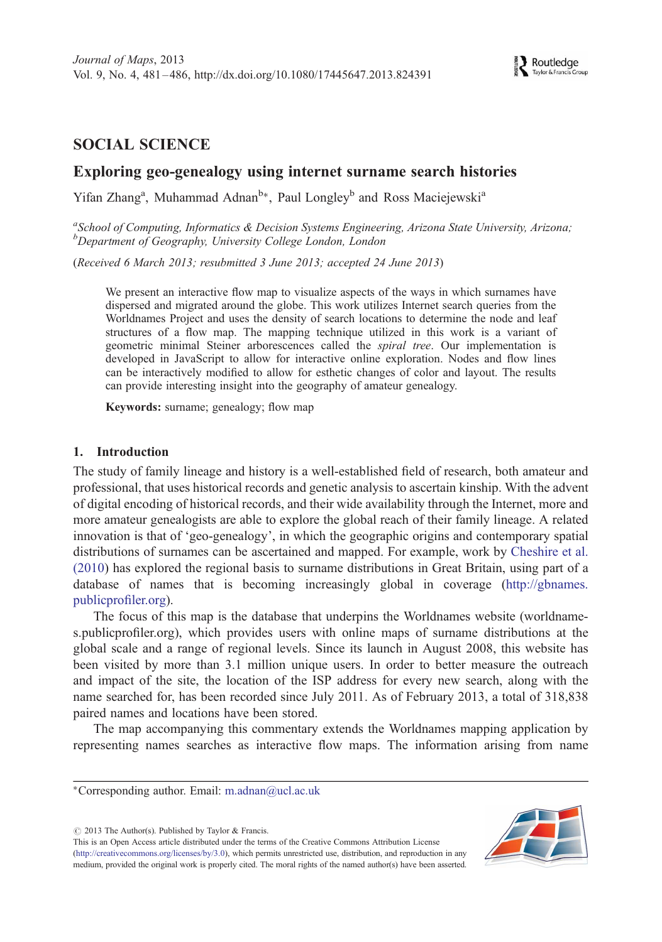

# SOCIAL SCIENCE

## Exploring geo-genealogy using internet surname search histories

Yifan Zhang<sup>a</sup>, Muhammad Adnan<sup>b∗</sup>, Paul Longley<sup>b</sup> and Ross Maciejewski<sup>a</sup>

<sup>a</sup> School of Computing, Informatics & Decision Systems Engineering, Arizona State University, Arizona; <sup>b</sup>Department of Geography, University College London, London

(Received 6 March 2013; resubmitted 3 June 2013; accepted 24 June 2013)

We present an interactive flow map to visualize aspects of the ways in which surnames have dispersed and migrated around the globe. This work utilizes Internet search queries from the Worldnames Project and uses the density of search locations to determine the node and leaf structures of a flow map. The mapping technique utilized in this work is a variant of geometric minimal Steiner arborescences called the spiral tree. Our implementation is developed in JavaScript to allow for interactive online exploration. Nodes and flow lines can be interactively modified to allow for esthetic changes of color and layout. The results can provide interesting insight into the geography of amateur genealogy.

Keywords: surname; genealogy; flow map

#### 1. Introduction

The study of family lineage and history is a well-established field of research, both amateur and professional, that uses historical records and genetic analysis to ascertain kinship. With the advent of digital encoding of historical records, and their wide availability through the Internet, more and more amateur genealogists are able to explore the global reach of their family lineage. A related innovation is that of 'geo-genealogy', in which the geographic origins and contemporary spatial distributions of surnames can be ascertained and mapped. For example, work by [Cheshire et al.](#page-4-0) [\(2010\)](#page-4-0) has explored the regional basis to surname distributions in Great Britain, using part of a database of names that is becoming increasingly global in coverage [\(http://gbnames.](http://gbnames.publicprofiler.org) [publicprofiler.org\)](http://gbnames.publicprofiler.org).

The focus of this map is the database that underpins the Worldnames website (worldnames.publicprofiler.org), which provides users with online maps of surname distributions at the global scale and a range of regional levels. Since its launch in August 2008, this website has been visited by more than 3.1 million unique users. In order to better measure the outreach and impact of the site, the location of the ISP address for every new search, along with the name searched for, has been recorded since July 2011. As of February 2013, a total of 318,838 paired names and locations have been stored.

The map accompanying this commentary extends the Worldnames mapping application by representing names searches as interactive flow maps. The information arising from name

 $\odot$  2013 The Author(s). Published by Taylor & Francis.

This is an Open Access article distributed under the terms of the Creative Commons Attribution License ([http://creativecommons.org/licenses/by/3.0\)](http://creativecommons.org/licenses/by/3.0), which permits unrestricted use, distribution, and reproduction in any medium, provided the original work is properly cited. The moral rights of the named author(s) have been asserted.



<sup>∗</sup>Corresponding author. Email: m.adnan@ucl.ac.uk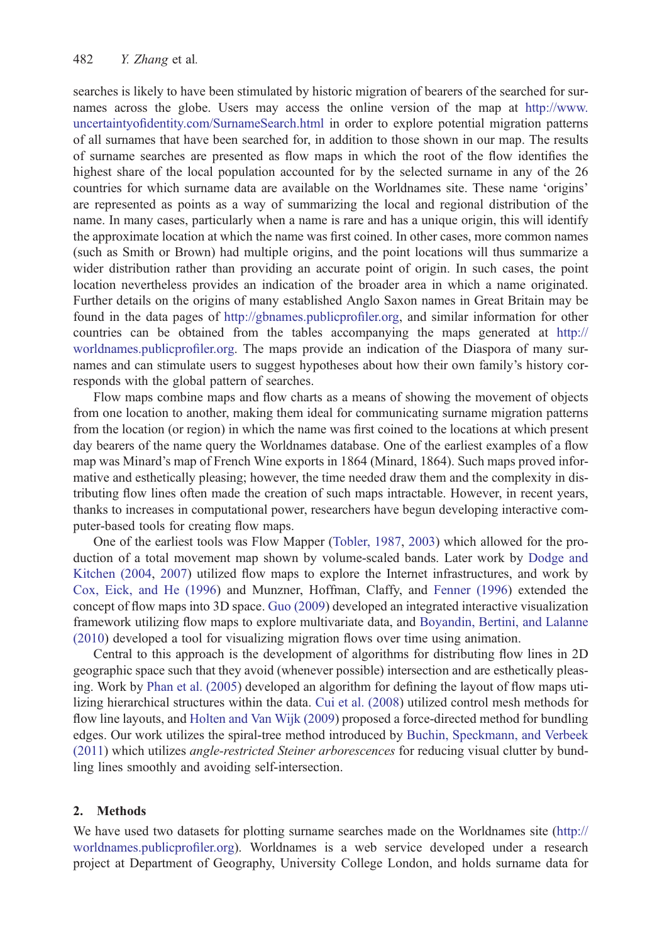searches is likely to have been stimulated by historic migration of bearers of the searched for surnames across the globe. Users may access the online version of the map at [http://www.](http://www.uncertaintyofidentity.com/SurnameSearch.html) [uncertaintyofidentity.com/SurnameSearch.html](http://www.uncertaintyofidentity.com/SurnameSearch.html) in order to explore potential migration patterns of all surnames that have been searched for, in addition to those shown in our map. The results of surname searches are presented as flow maps in which the root of the flow identifies the highest share of the local population accounted for by the selected surname in any of the 26 countries for which surname data are available on the Worldnames site. These name 'origins' are represented as points as a way of summarizing the local and regional distribution of the name. In many cases, particularly when a name is rare and has a unique origin, this will identify the approximate location at which the name was first coined. In other cases, more common names (such as Smith or Brown) had multiple origins, and the point locations will thus summarize a wider distribution rather than providing an accurate point of origin. In such cases, the point location nevertheless provides an indication of the broader area in which a name originated. Further details on the origins of many established Anglo Saxon names in Great Britain may be found in the data pages of [http://gbnames.publicprofiler.org,](http://gbnames.publicprofiler.org) and similar information for other countries can be obtained from the tables accompanying the maps generated at [http://](http://worldnames.publicprofiler.org) [worldnames.publicprofiler.org.](http://worldnames.publicprofiler.org) The maps provide an indication of the Diaspora of many surnames and can stimulate users to suggest hypotheses about how their own family's history corresponds with the global pattern of searches.

Flow maps combine maps and flow charts as a means of showing the movement of objects from one location to another, making them ideal for communicating surname migration patterns from the location (or region) in which the name was first coined to the locations at which present day bearers of the name query the Worldnames database. One of the earliest examples of a flow map was Minard's map of French Wine exports in 1864 (Minard, 1864). Such maps proved informative and esthetically pleasing; however, the time needed draw them and the complexity in distributing flow lines often made the creation of such maps intractable. However, in recent years, thanks to increases in computational power, researchers have begun developing interactive computer-based tools for creating flow maps.

One of the earliest tools was Flow Mapper [\(Tobler, 1987](#page-5-0), [2003\)](#page-5-0) which allowed for the production of a total movement map shown by volume-scaled bands. Later work by [Dodge and](#page-4-0) [Kitchen \(2004](#page-4-0), [2007\)](#page-4-0) utilized flow maps to explore the Internet infrastructures, and work by [Cox, Eick, and He \(1996](#page-4-0)) and Munzner, Hoffman, Claffy, and [Fenner \(1996\)](#page-5-0) extended the concept of flow maps into 3D space. [Guo \(2009](#page-5-0)) developed an integrated interactive visualization framework utilizing flow maps to explore multivariate data, and [Boyandin, Bertini, and Lalanne](#page-4-0) [\(2010\)](#page-4-0) developed a tool for visualizing migration flows over time using animation.

Central to this approach is the development of algorithms for distributing flow lines in 2D geographic space such that they avoid (whenever possible) intersection and are esthetically pleasing. Work by [Phan et al. \(2005\)](#page-5-0) developed an algorithm for defining the layout of flow maps utilizing hierarchical structures within the data. [Cui et al. \(2008\)](#page-4-0) utilized control mesh methods for flow line layouts, and [Holten and Van Wijk \(2009\)](#page-5-0) proposed a force-directed method for bundling edges. Our work utilizes the spiral-tree method introduced by [Buchin, Speckmann, and Verbeek](#page-4-0) [\(2011\)](#page-4-0) which utilizes *angle-restricted Steiner arborescences* for reducing visual clutter by bundling lines smoothly and avoiding self-intersection.

#### 2. Methods

We have used two datasets for plotting surname searches made on the Worldnames site [\(http://](http://worldnames.publicprofiler.org) [worldnames.publicprofiler.org\)](http://worldnames.publicprofiler.org). Worldnames is a web service developed under a research project at Department of Geography, University College London, and holds surname data for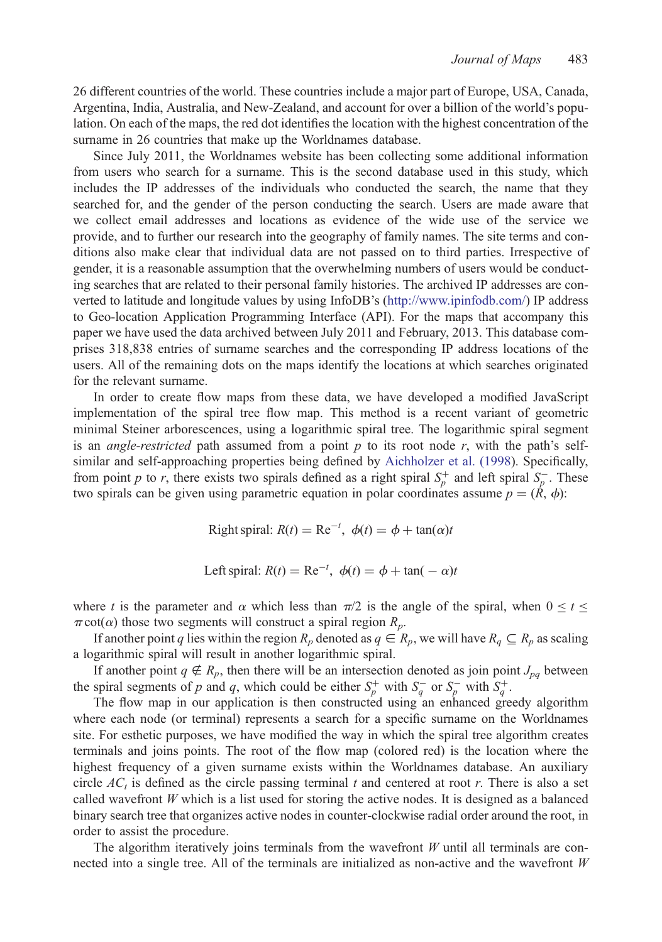26 different countries of the world. These countries include a major part of Europe, USA, Canada, Argentina, India, Australia, and New-Zealand, and account for over a billion of the world's population. On each of the maps, the red dot identifies the location with the highest concentration of the surname in 26 countries that make up the Worldnames database.

Since July 2011, the Worldnames website has been collecting some additional information from users who search for a surname. This is the second database used in this study, which includes the IP addresses of the individuals who conducted the search, the name that they searched for, and the gender of the person conducting the search. Users are made aware that we collect email addresses and locations as evidence of the wide use of the service we provide, and to further our research into the geography of family names. The site terms and conditions also make clear that individual data are not passed on to third parties. Irrespective of gender, it is a reasonable assumption that the overwhelming numbers of users would be conducting searches that are related to their personal family histories. The archived IP addresses are converted to latitude and longitude values by using InfoDB's ([http://www.ipinfodb.com/\)](http://www.ipinfodb.com/) IP address to Geo-location Application Programming Interface (API). For the maps that accompany this paper we have used the data archived between July 2011 and February, 2013. This database comprises 318,838 entries of surname searches and the corresponding IP address locations of the users. All of the remaining dots on the maps identify the locations at which searches originated for the relevant surname.

In order to create flow maps from these data, we have developed a modified JavaScript implementation of the spiral tree flow map. This method is a recent variant of geometric minimal Steiner arborescences, using a logarithmic spiral tree. The logarithmic spiral segment is an *angle-restricted* path assumed from a point  $p$  to its root node  $r$ , with the path's selfsimilar and self-approaching properties being defined by [Aichholzer et al. \(1998\)](#page-4-0). Specifically, from point p to r, there exists two spirals defined as a right spiral  $S_p^+$  and left spiral  $S_p^-$ . These two spirals can be given using parametric equation in polar coordinates assume  $p = (\hat{R}, \phi)$ :

Right spiral:  $R(t) = \text{Re}^{-t}$ ,  $\phi(t) = \phi + \tan(\alpha)t$ 

Left spiral:  $R(t) = \text{Re}^{-t}$ ,  $\phi(t) = \phi + \tan(-\alpha)t$ 

where t is the parameter and  $\alpha$  which less than  $\pi/2$  is the angle of the spiral, when  $0 \le t \le$  $\pi \cot(\alpha)$  those two segments will construct a spiral region  $R_p$ .

If another point q lies within the region  $R_p$  denoted as  $q \in R_p$ , we will have  $R_q \subseteq R_p$  as scaling a logarithmic spiral will result in another logarithmic spiral.

If another point  $q \notin R_p$ , then there will be an intersection denoted as join point  $J_{pq}$  between the spiral segments of p and q, which could be either  $S_p^+$  with  $S_q^-$  or  $S_p^-$  with  $S_q^+$ .

The flow map in our application is then constructed using an enhanced greedy algorithm where each node (or terminal) represents a search for a specific surname on the Worldnames site. For esthetic purposes, we have modified the way in which the spiral tree algorithm creates terminals and joins points. The root of the flow map (colored red) is the location where the highest frequency of a given surname exists within the Worldnames database. An auxiliary circle  $AC<sub>t</sub>$  is defined as the circle passing terminal t and centered at root r. There is also a set called wavefront  $W$  which is a list used for storing the active nodes. It is designed as a balanced binary search tree that organizes active nodes in counter-clockwise radial order around the root, in order to assist the procedure.

The algorithm iteratively joins terminals from the wavefront  $W$  until all terminals are connected into a single tree. All of the terminals are initialized as non-active and the wavefront  $W$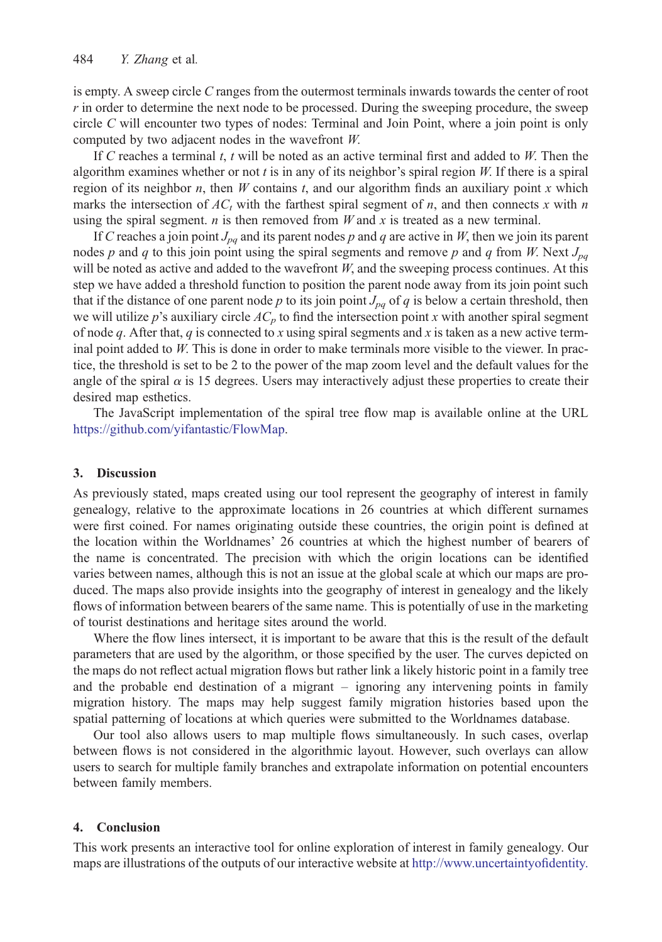is empty. A sweep circle C ranges from the outermost terminals inwards towards the center of root  $r$  in order to determine the next node to be processed. During the sweeping procedure, the sweep circle C will encounter two types of nodes: Terminal and Join Point, where a join point is only computed by two adjacent nodes in the wavefront W.

If C reaches a terminal t, t will be noted as an active terminal first and added to  $W$ . Then the algorithm examines whether or not t is in any of its neighbor's spiral region  $W$ . If there is a spiral region of its neighbor  $n$ , then W contains  $t$ , and our algorithm finds an auxiliary point  $x$  which marks the intersection of  $AC<sub>t</sub>$  with the farthest spiral segment of n, and then connects x with n using the spiral segment. *n* is then removed from  $W$  and  $x$  is treated as a new terminal.

If C reaches a join point  $J_{pq}$  and its parent nodes p and q are active in W, then we join its parent nodes p and q to this join point using the spiral segments and remove p and q from W. Next  $J_{pq}$ will be noted as active and added to the wavefront  $W$ , and the sweeping process continues. At this step we have added a threshold function to position the parent node away from its join point such that if the distance of one parent node p to its join point  $J_{pq}$  of q is below a certain threshold, then we will utilize p's auxiliary circle  $AC_p$  to find the intersection point x with another spiral segment of node q. After that, q is connected to x using spiral segments and x is taken as a new active terminal point added to W. This is done in order to make terminals more visible to the viewer. In practice, the threshold is set to be 2 to the power of the map zoom level and the default values for the angle of the spiral  $\alpha$  is 15 degrees. Users may interactively adjust these properties to create their desired map esthetics.

The JavaScript implementation of the spiral tree flow map is available online at the URL <https://github.com/yifantastic/FlowMap>.

### 3. Discussion

As previously stated, maps created using our tool represent the geography of interest in family genealogy, relative to the approximate locations in 26 countries at which different surnames were first coined. For names originating outside these countries, the origin point is defined at the location within the Worldnames' 26 countries at which the highest number of bearers of the name is concentrated. The precision with which the origin locations can be identified varies between names, although this is not an issue at the global scale at which our maps are produced. The maps also provide insights into the geography of interest in genealogy and the likely flows of information between bearers of the same name. This is potentially of use in the marketing of tourist destinations and heritage sites around the world.

Where the flow lines intersect, it is important to be aware that this is the result of the default parameters that are used by the algorithm, or those specified by the user. The curves depicted on the maps do not reflect actual migration flows but rather link a likely historic point in a family tree and the probable end destination of a migrant – ignoring any intervening points in family migration history. The maps may help suggest family migration histories based upon the spatial patterning of locations at which queries were submitted to the Worldnames database.

Our tool also allows users to map multiple flows simultaneously. In such cases, overlap between flows is not considered in the algorithmic layout. However, such overlays can allow users to search for multiple family branches and extrapolate information on potential encounters between family members.

### 4. Conclusion

This work presents an interactive tool for online exploration of interest in family genealogy. Our maps are illustrations of the outputs of our interactive website at [http://www.uncertaintyofidentity.](http://www.uncertaintyofidentity.com/SurnameSearch.html)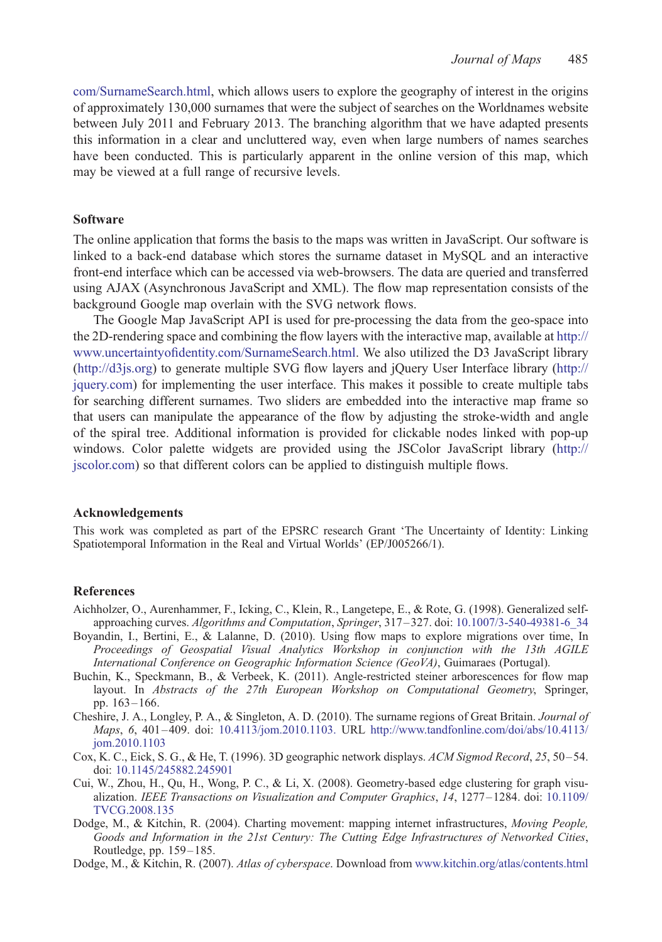<span id="page-4-0"></span>[com/SurnameSearch.html](http://www.uncertaintyofidentity.com/SurnameSearch.html), which allows users to explore the geography of interest in the origins of approximately 130,000 surnames that were the subject of searches on the Worldnames website between July 2011 and February 2013. The branching algorithm that we have adapted presents this information in a clear and uncluttered way, even when large numbers of names searches have been conducted. This is particularly apparent in the online version of this map, which may be viewed at a full range of recursive levels.

#### Software

The online application that forms the basis to the maps was written in JavaScript. Our software is linked to a back-end database which stores the surname dataset in MySQL and an interactive front-end interface which can be accessed via web-browsers. The data are queried and transferred using AJAX (Asynchronous JavaScript and XML). The flow map representation consists of the background Google map overlain with the SVG network flows.

The Google Map JavaScript API is used for pre-processing the data from the geo-space into the 2D-rendering space and combining the flow layers with the interactive map, available at [http://](http://www.uncertaintyofidentity.com/SurnameSearch.html) [www.uncertaintyofidentity.com/SurnameSearch.html](http://www.uncertaintyofidentity.com/SurnameSearch.html). We also utilized the D3 JavaScript library ([http://d3js.org\)](http://d3js.org) to generate multiple SVG flow layers and jQuery User Interface library [\(http://](http://jquery.com) [jquery.com\)](http://jquery.com) for implementing the user interface. This makes it possible to create multiple tabs for searching different surnames. Two sliders are embedded into the interactive map frame so that users can manipulate the appearance of the flow by adjusting the stroke-width and angle of the spiral tree. Additional information is provided for clickable nodes linked with pop-up windows. Color palette widgets are provided using the JSColor JavaScript library [\(http://](http://jscolor.com) [jscolor.com\)](http://jscolor.com) so that different colors can be applied to distinguish multiple flows.

#### Acknowledgements

This work was completed as part of the EPSRC research Grant 'The Uncertainty of Identity: Linking Spatiotemporal Information in the Real and Virtual Worlds' (EP/J005266/1).

#### References

- Aichholzer, O., Aurenhammer, F., Icking, C., Klein, R., Langetepe, E., & Rote, G. (1998). Generalized selfapproaching curves. Algorithms and Computation, Springer, 317-327. doi: 10.1007/3-540-49381-6 34
- Boyandin, I., Bertini, E., & Lalanne, D. (2010). Using flow maps to explore migrations over time, In Proceedings of Geospatial Visual Analytics Workshop in conjunction with the 13th AGILE International Conference on Geographic Information Science (GeoVA), Guimaraes (Portugal).
- Buchin, K., Speckmann, B., & Verbeek, K. (2011). Angle-restricted steiner arborescences for flow map layout. In Abstracts of the 27th European Workshop on Computational Geometry, Springer, pp. 163 –166.
- Cheshire, J. A., Longley, P. A., & Singleton, A. D. (2010). The surname regions of Great Britain. Journal of Maps, 6, 401 –409. doi: [10.4113/jom.2010.1103.](http://dx.doi.org/10.4113/jom.2010.1103.) URL [http://www.tandfonline.com/doi/abs/10.4113/](http://www.tandfonline.com/doi/abs/10.4113/jom.2010.1103) [jom.2010.1103](http://www.tandfonline.com/doi/abs/10.4113/jom.2010.1103)
- Cox, K. C., Eick, S. G., & He, T. (1996). 3D geographic network displays. ACM Sigmod Record, 25, 50–54. doi: [10.1145/245882.245901](http://dx.doi.org/10.1145/245882.245901)
- Cui, W., Zhou, H., Qu, H., Wong, P. C., & Li, X. (2008). Geometry-based edge clustering for graph visualization. IEEE Transactions on Visualization and Computer Graphics, 14, 1277–1284. doi: [10.1109/](http://dx.doi.org/10.1109/TVCG.2008.135) [TVCG.2008.135](http://dx.doi.org/10.1109/TVCG.2008.135)
- Dodge, M., & Kitchin, R. (2004). Charting movement: mapping internet infrastructures, Moving People, Goods and Information in the 21st Century: The Cutting Edge Infrastructures of Networked Cities, Routledge, pp. 159 –185.
- Dodge, M., & Kitchin, R. (2007). Atlas of cyberspace. Download from <www.kitchin.org/atlas/contents.html>